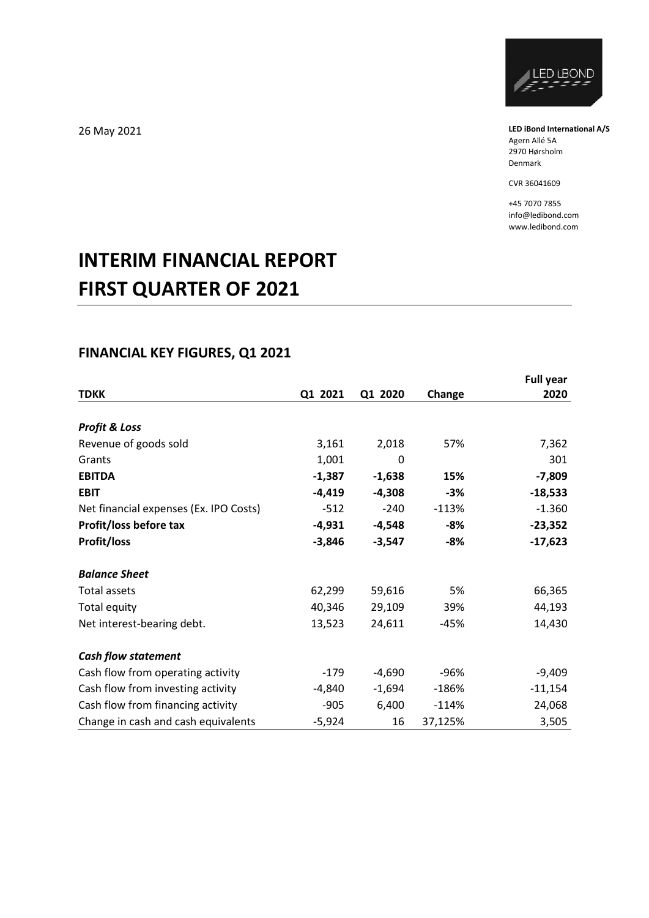

**LED iBond International A/S** Agern Allé 5A 2970 Hørsholm Denmark

CVR 36041609

+45 7070 7855 info@ledibond.com www.ledibond.com

# **INTERIM FINANCIAL REPORT FIRST QUARTER OF 2021**

# **FINANCIAL KEY FIGURES, Q1 2021**

|                                        |          |          |         | <b>Full year</b> |
|----------------------------------------|----------|----------|---------|------------------|
| <b>TDKK</b>                            | Q1 2021  | Q1 2020  | Change  | 2020             |
|                                        |          |          |         |                  |
| <b>Profit &amp; Loss</b>               |          |          |         |                  |
| Revenue of goods sold                  | 3,161    | 2,018    | 57%     | 7,362            |
| Grants                                 | 1,001    | 0        |         | 301              |
| <b>EBITDA</b>                          | $-1,387$ | $-1,638$ | 15%     | $-7,809$         |
| <b>EBIT</b>                            | $-4,419$ | $-4,308$ | $-3%$   | $-18,533$        |
| Net financial expenses (Ex. IPO Costs) | $-512$   | $-240$   | $-113%$ | $-1.360$         |
| Profit/loss before tax                 | $-4,931$ | $-4,548$ | -8%     | $-23,352$        |
| <b>Profit/loss</b>                     | $-3,846$ | $-3,547$ | $-8%$   | $-17,623$        |
| <b>Balance Sheet</b>                   |          |          |         |                  |
| Total assets                           | 62,299   | 59,616   | 5%      | 66,365           |
| <b>Total equity</b>                    | 40,346   | 29,109   | 39%     | 44,193           |
| Net interest-bearing debt.             | 13,523   | 24,611   | -45%    | 14,430           |
| <b>Cash flow statement</b>             |          |          |         |                  |
| Cash flow from operating activity      | $-179$   | $-4,690$ | $-96%$  | $-9,409$         |
| Cash flow from investing activity      | -4,840   | $-1,694$ | $-186%$ | $-11,154$        |
| Cash flow from financing activity      | $-905$   | 6,400    | $-114%$ | 24,068           |
| Change in cash and cash equivalents    | $-5,924$ | 16       | 37,125% | 3,505            |

26 May 2021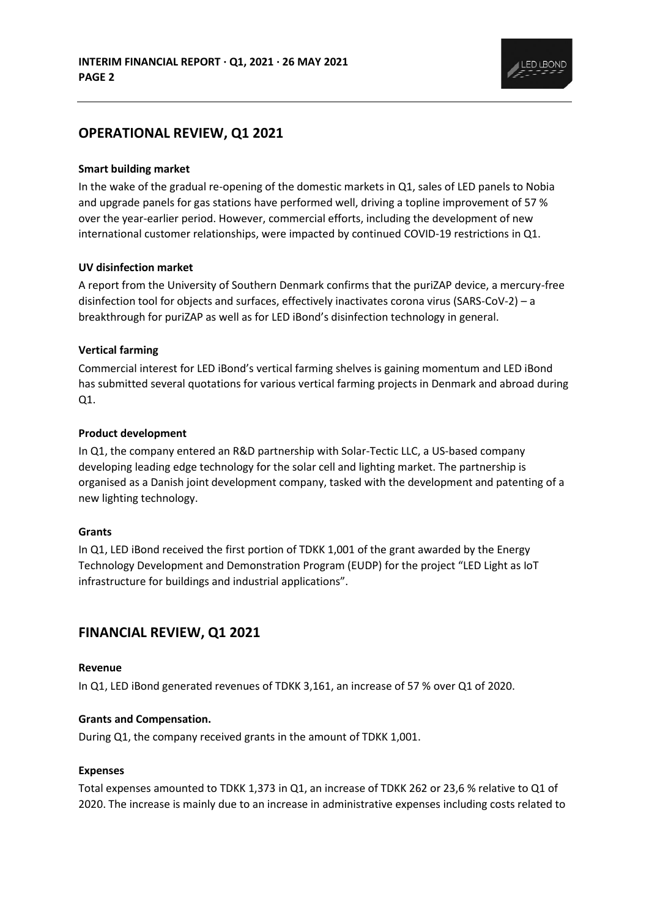

## **OPERATIONAL REVIEW, Q1 2021**

#### **Smart building market**

In the wake of the gradual re-opening of the domestic markets in Q1, sales of LED panels to Nobia and upgrade panels for gas stations have performed well, driving a topline improvement of 57 % over the year-earlier period. However, commercial efforts, including the development of new international customer relationships, were impacted by continued COVID-19 restrictions in Q1.

#### **UV disinfection market**

A report from the University of Southern Denmark confirms that the puriZAP device, a mercury-free disinfection tool for objects and surfaces, effectively inactivates corona virus (SARS-CoV-2) – a breakthrough for puriZAP as well as for LED iBond's disinfection technology in general.

### **Vertical farming**

Commercial interest for LED iBond's vertical farming shelves is gaining momentum and LED iBond has submitted several quotations for various vertical farming projects in Denmark and abroad during Q1.

### **Product development**

In Q1, the company entered an R&D partnership with Solar-Tectic LLC, a US-based company developing leading edge technology for the solar cell and lighting market. The partnership is organised as a Danish joint development company, tasked with the development and patenting of a new lighting technology.

#### **Grants**

In Q1, LED iBond received the first portion of TDKK 1,001 of the grant awarded by the Energy Technology Development and Demonstration Program (EUDP) for the project "LED Light as IoT infrastructure for buildings and industrial applications".

# **FINANCIAL REVIEW, Q1 2021**

#### **Revenue**

In Q1, LED iBond generated revenues of TDKK 3,161, an increase of 57 % over Q1 of 2020.

#### **Grants and Compensation.**

During Q1, the company received grants in the amount of TDKK 1,001.

#### **Expenses**

Total expenses amounted to TDKK 1,373 in Q1, an increase of TDKK 262 or 23,6 % relative to Q1 of 2020. The increase is mainly due to an increase in administrative expenses including costs related to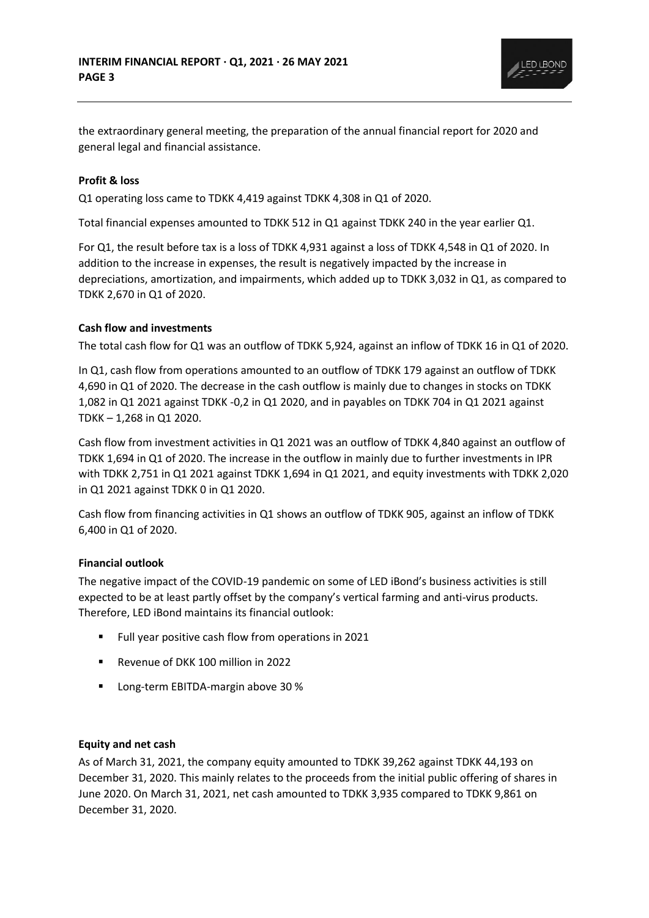

the extraordinary general meeting, the preparation of the annual financial report for 2020 and general legal and financial assistance.

### **Profit & loss**

Q1 operating loss came to TDKK 4,419 against TDKK 4,308 in Q1 of 2020.

Total financial expenses amounted to TDKK 512 in Q1 against TDKK 240 in the year earlier Q1.

For Q1, the result before tax is a loss of TDKK 4,931 against a loss of TDKK 4,548 in Q1 of 2020. In addition to the increase in expenses, the result is negatively impacted by the increase in depreciations, amortization, and impairments, which added up to TDKK 3,032 in Q1, as compared to TDKK 2,670 in Q1 of 2020.

### **Cash flow and investments**

The total cash flow for Q1 was an outflow of TDKK 5,924, against an inflow of TDKK 16 in Q1 of 2020.

In Q1, cash flow from operations amounted to an outflow of TDKK 179 against an outflow of TDKK 4,690 in Q1 of 2020. The decrease in the cash outflow is mainly due to changes in stocks on TDKK 1,082 in Q1 2021 against TDKK -0,2 in Q1 2020, and in payables on TDKK 704 in Q1 2021 against TDKK – 1,268 in Q1 2020.

Cash flow from investment activities in Q1 2021 was an outflow of TDKK 4,840 against an outflow of TDKK 1,694 in Q1 of 2020. The increase in the outflow in mainly due to further investments in IPR with TDKK 2,751 in Q1 2021 against TDKK 1,694 in Q1 2021, and equity investments with TDKK 2,020 in Q1 2021 against TDKK 0 in Q1 2020.

Cash flow from financing activities in Q1 shows an outflow of TDKK 905, against an inflow of TDKK 6,400 in Q1 of 2020.

### **Financial outlook**

The negative impact of the COVID-19 pandemic on some of LED iBond's business activities is still expected to be at least partly offset by the company's vertical farming and anti-virus products. Therefore, LED iBond maintains its financial outlook:

- Full year positive cash flow from operations in 2021
- Revenue of DKK 100 million in 2022
- Long-term EBITDA-margin above 30 %

#### **Equity and net cash**

As of March 31, 2021, the company equity amounted to TDKK 39,262 against TDKK 44,193 on December 31, 2020. This mainly relates to the proceeds from the initial public offering of shares in June 2020. On March 31, 2021, net cash amounted to TDKK 3,935 compared to TDKK 9,861 on December 31, 2020.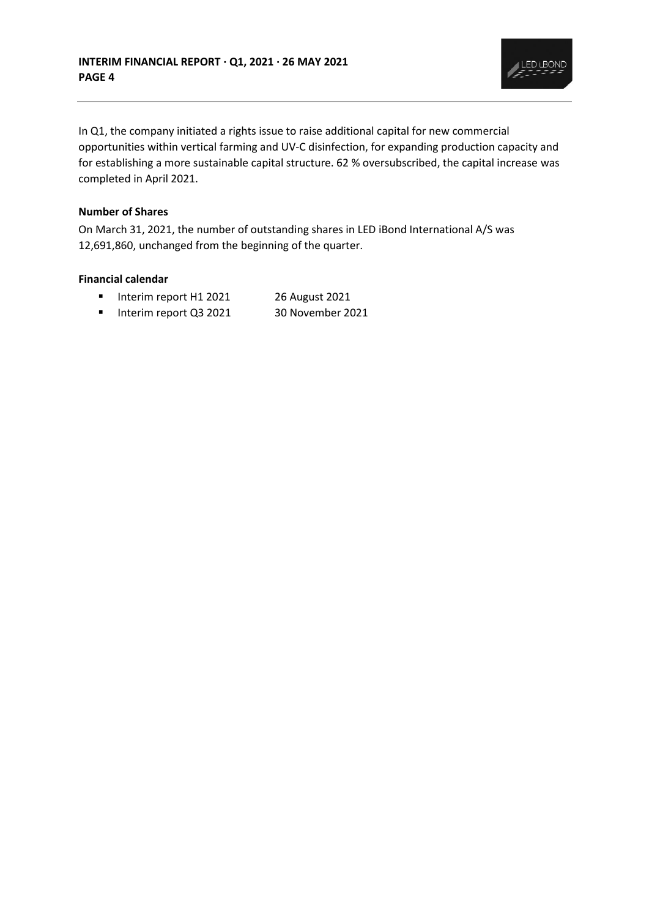

In Q1, the company initiated a rights issue to raise additional capital for new commercial opportunities within vertical farming and UV-C disinfection, for expanding production capacity and for establishing a more sustainable capital structure. 62 % oversubscribed, the capital increase was completed in April 2021.

### **Number of Shares**

On March 31, 2021, the number of outstanding shares in LED iBond International A/S was 12,691,860, unchanged from the beginning of the quarter.

### **Financial calendar**

- Interim report H1 2021 26 August 2021
- Interim report Q3 2021 30 November 2021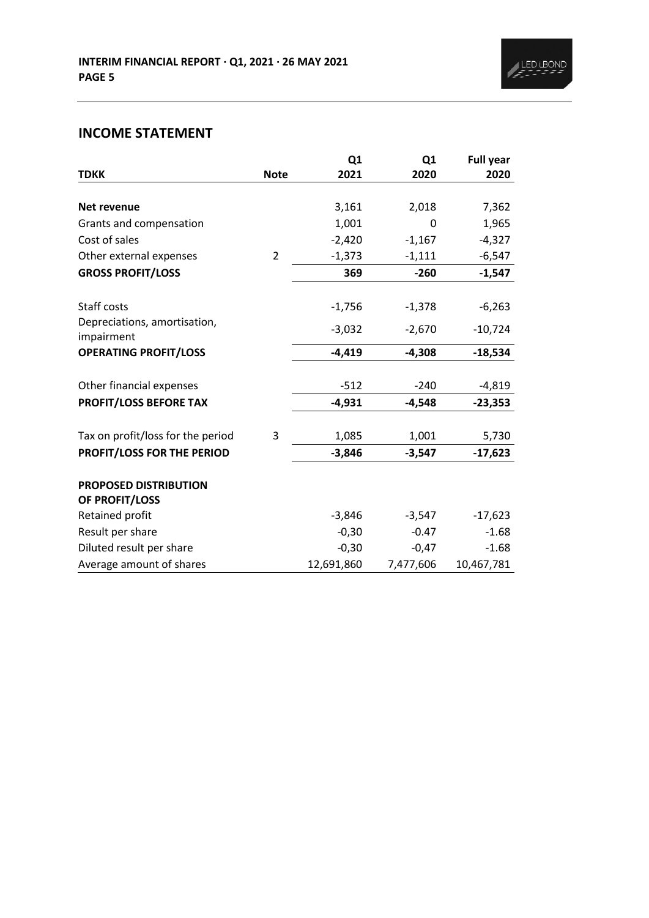# **INCOME STATEMENT**

|                                                |                | Q <sub>1</sub> | Q <sub>1</sub> | <b>Full year</b> |
|------------------------------------------------|----------------|----------------|----------------|------------------|
| <b>TDKK</b>                                    | <b>Note</b>    | 2021           | 2020           | 2020             |
| <b>Net revenue</b>                             |                | 3,161          | 2,018          | 7,362            |
| Grants and compensation                        |                | 1,001          | 0              | 1,965            |
| Cost of sales                                  |                | $-2,420$       | $-1,167$       | $-4,327$         |
| Other external expenses                        | $\overline{2}$ | $-1,373$       | $-1,111$       | $-6,547$         |
| <b>GROSS PROFIT/LOSS</b>                       |                | 369            | $-260$         | $-1,547$         |
| Staff costs                                    |                | $-1,756$       | $-1,378$       | $-6,263$         |
| Depreciations, amortisation,<br>impairment     |                | $-3,032$       | $-2,670$       | $-10,724$        |
| <b>OPERATING PROFIT/LOSS</b>                   |                | $-4,419$       | $-4,308$       | $-18,534$        |
| Other financial expenses                       |                | $-512$         | $-240$         | $-4,819$         |
| <b>PROFIT/LOSS BEFORE TAX</b>                  |                | $-4,931$       | $-4,548$       | $-23,353$        |
| Tax on profit/loss for the period              | 3              | 1,085          | 1,001          | 5,730            |
| PROFIT/LOSS FOR THE PERIOD                     |                | $-3,846$       | $-3,547$       | $-17,623$        |
| <b>PROPOSED DISTRIBUTION</b><br>OF PROFIT/LOSS |                |                |                |                  |
| Retained profit                                |                | $-3,846$       | $-3,547$       | $-17,623$        |
| Result per share                               |                | $-0,30$        | $-0.47$        | $-1.68$          |
| Diluted result per share                       |                | $-0,30$        | $-0,47$        | $-1.68$          |
| Average amount of shares                       |                | 12,691,860     | 7,477,606      | 10,467,781       |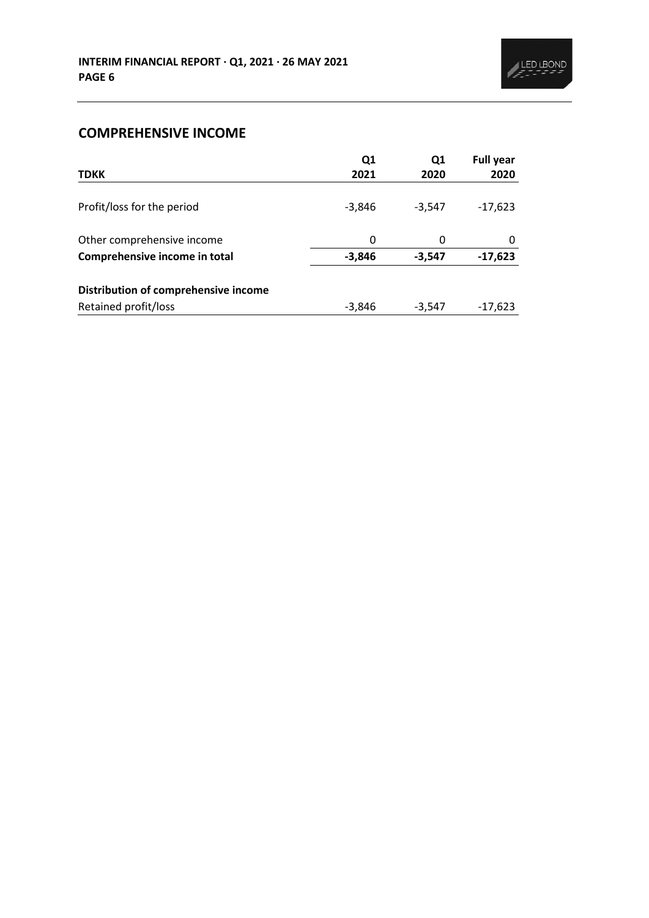# **COMPREHENSIVE INCOME**

|                                      | Q1       | Q1       | <b>Full year</b> |
|--------------------------------------|----------|----------|------------------|
| <b>TDKK</b>                          | 2021     | 2020     | 2020             |
| Profit/loss for the period           | $-3,846$ | $-3,547$ | $-17,623$        |
| Other comprehensive income           | 0        | 0        |                  |
| Comprehensive income in total        | $-3,846$ | $-3,547$ | $-17,623$        |
| Distribution of comprehensive income |          |          |                  |
| Retained profit/loss                 | -3,846   | $-3,547$ | $-17,623$        |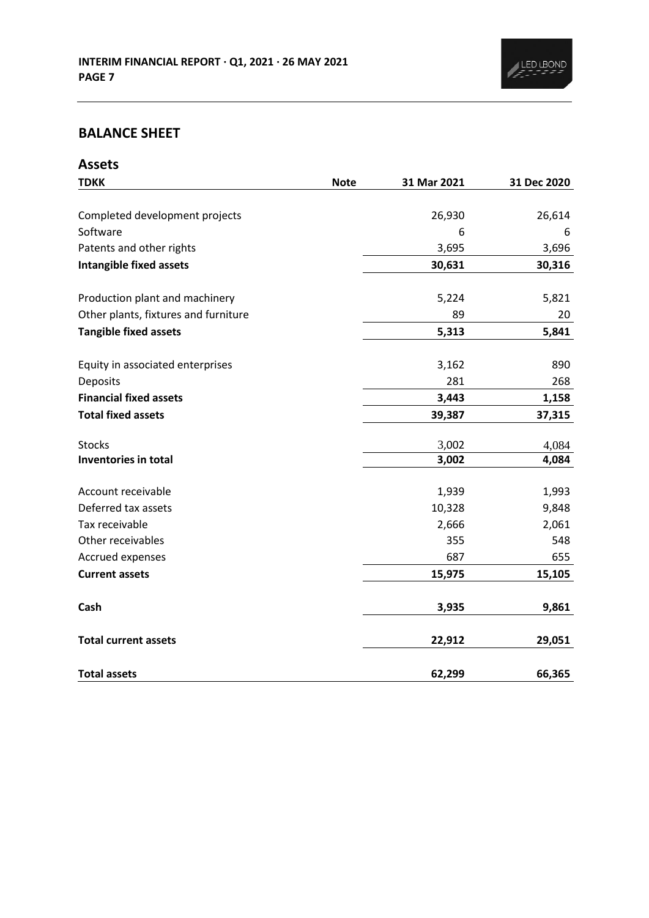

# **BALANCE SHEET**

| <b>Assets</b>                        |             |             |             |
|--------------------------------------|-------------|-------------|-------------|
| <b>TDKK</b>                          | <b>Note</b> | 31 Mar 2021 | 31 Dec 2020 |
|                                      |             |             |             |
| Completed development projects       |             | 26,930      | 26,614      |
| Software                             |             | 6           | 6           |
| Patents and other rights             |             | 3,695       | 3,696       |
| <b>Intangible fixed assets</b>       |             | 30,631      | 30,316      |
| Production plant and machinery       |             | 5,224       | 5,821       |
| Other plants, fixtures and furniture |             | 89          | 20          |
| <b>Tangible fixed assets</b>         |             | 5,313       | 5,841       |
| Equity in associated enterprises     |             | 3,162       | 890         |
| Deposits                             |             | 281         | 268         |
| <b>Financial fixed assets</b>        |             | 3,443       | 1,158       |
| <b>Total fixed assets</b>            |             | 39,387      | 37,315      |
| <b>Stocks</b>                        |             | 3,002       | 4,084       |
| Inventories in total                 |             | 3,002       | 4,084       |
| Account receivable                   |             | 1,939       | 1,993       |
| Deferred tax assets                  |             | 10,328      | 9,848       |
| Tax receivable                       |             | 2,666       | 2,061       |
| Other receivables                    |             | 355         | 548         |
| Accrued expenses                     |             | 687         | 655         |
| <b>Current assets</b>                |             | 15,975      | 15,105      |
| Cash                                 |             | 3,935       | 9,861       |
| <b>Total current assets</b>          |             | 22,912      | 29,051      |
| <b>Total assets</b>                  |             | 62,299      | 66,365      |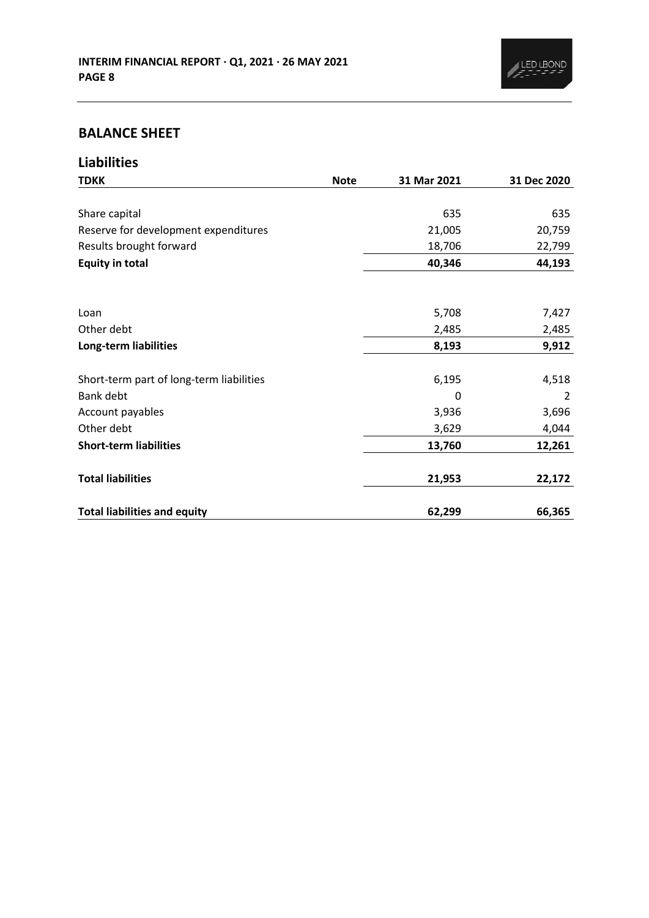

# **BALANCE SHEET**

| <b>Liabilities</b>                       |             |             |             |
|------------------------------------------|-------------|-------------|-------------|
| <b>TDKK</b>                              | <b>Note</b> | 31 Mar 2021 | 31 Dec 2020 |
|                                          |             |             |             |
| Share capital                            |             | 635         | 635         |
| Reserve for development expenditures     |             | 21,005      | 20,759      |
| Results brought forward                  |             | 18,706      | 22,799      |
| <b>Equity in total</b>                   |             | 40,346      | 44,193      |
|                                          |             |             |             |
| Loan                                     |             | 5,708       | 7,427       |
| Other debt                               |             | 2,485       | 2,485       |
| Long-term liabilities                    |             | 8,193       | 9,912       |
|                                          |             |             |             |
| Short-term part of long-term liabilities |             | 6,195       | 4,518       |
| Bank debt                                |             | 0           | 2           |
| Account payables                         |             | 3,936       | 3,696       |
| Other debt                               |             | 3,629       | 4,044       |
| <b>Short-term liabilities</b>            |             | 13,760      | 12,261      |
| <b>Total liabilities</b>                 |             | 21,953      | 22,172      |
| <b>Total liabilities and equity</b>      |             | 62,299      | 66,365      |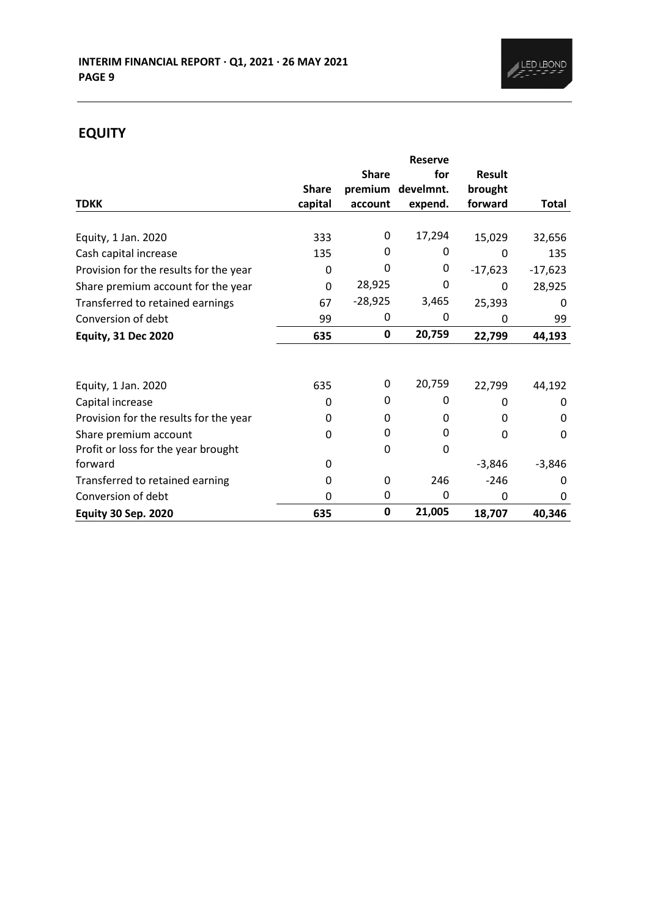

# **EQUITY**

|                                        |              |              | <b>Reserve</b> |               |              |
|----------------------------------------|--------------|--------------|----------------|---------------|--------------|
|                                        |              | <b>Share</b> | for            | <b>Result</b> |              |
|                                        | <b>Share</b> | premium      | develmnt.      | brought       |              |
| <b>TDKK</b>                            | capital      | account      | expend.        | forward       | <b>Total</b> |
| Equity, 1 Jan. 2020                    | 333          | 0            | 17,294         | 15,029        | 32,656       |
| Cash capital increase                  | 135          | 0            | 0              | 0             | 135          |
| Provision for the results for the year | 0            | 0            | 0              | $-17,623$     | $-17,623$    |
| Share premium account for the year     | $\mathbf 0$  | 28,925       | 0              | 0             | 28,925       |
| Transferred to retained earnings       | 67           | $-28,925$    | 3,465          | 25,393        | 0            |
| Conversion of debt                     | 99           | 0            | 0              | 0             | 99           |
| <b>Equity, 31 Dec 2020</b>             | 635          | 0            | 20,759         | 22,799        | 44,193       |
|                                        |              |              |                |               |              |
| Equity, 1 Jan. 2020                    | 635          | 0            | 20,759         | 22,799        | 44,192       |
| Capital increase                       | 0            | 0            | O              | 0             | 0            |
| Provision for the results for the year | 0            | 0            | 0              | 0             | 0            |
| Share premium account                  | 0            | 0            | 0              | 0             | 0            |
| Profit or loss for the year brought    |              | 0            | 0              |               |              |
| forward                                | 0            |              |                | $-3,846$      | $-3,846$     |
| Transferred to retained earning        | 0            | 0            | 246            | $-246$        | 0            |
| Conversion of debt                     | 0            | 0            | 0              | 0             | 0            |
| <b>Equity 30 Sep. 2020</b>             | 635          | 0            | 21,005         | 18,707        | 40,346       |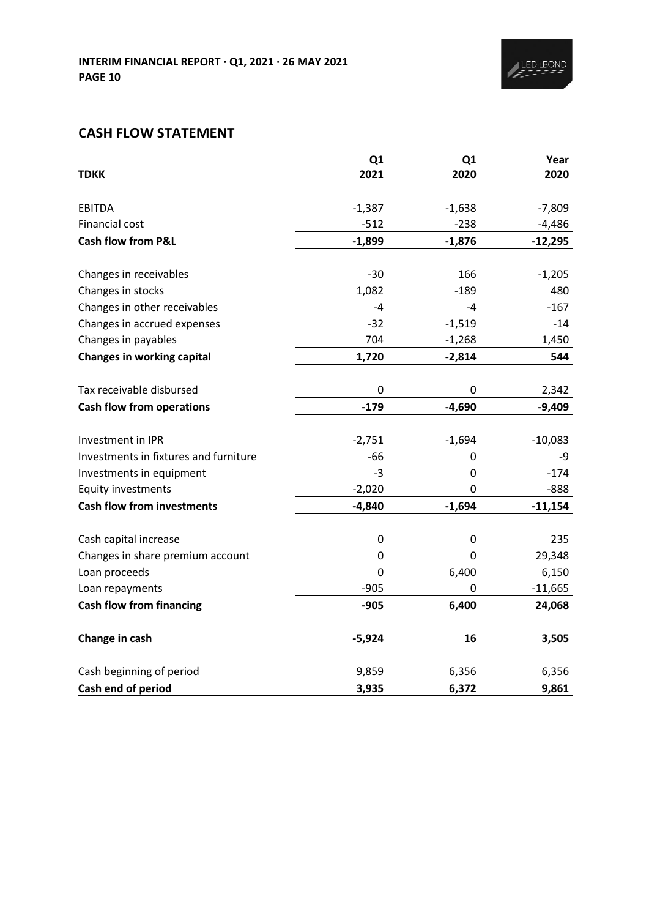# **CASH FLOW STATEMENT**

|                                       | Q1       | Q1       | Year      |
|---------------------------------------|----------|----------|-----------|
| <b>TDKK</b>                           | 2021     | 2020     | 2020      |
| <b>EBITDA</b>                         |          |          |           |
|                                       | $-1,387$ | $-1,638$ | $-7,809$  |
| Financial cost                        | $-512$   | $-238$   | $-4,486$  |
| <b>Cash flow from P&amp;L</b>         | $-1,899$ | $-1,876$ | $-12,295$ |
| Changes in receivables                | $-30$    | 166      | $-1,205$  |
| Changes in stocks                     | 1,082    | $-189$   | 480       |
| Changes in other receivables          | $-4$     | -4       | $-167$    |
| Changes in accrued expenses           | $-32$    | $-1,519$ | $-14$     |
| Changes in payables                   | 704      | $-1,268$ | 1,450     |
| <b>Changes in working capital</b>     | 1,720    | $-2,814$ | 544       |
|                                       |          |          |           |
| Tax receivable disbursed              | 0        | 0        | 2,342     |
| <b>Cash flow from operations</b>      | $-179$   | $-4,690$ | $-9,409$  |
|                                       |          |          |           |
| Investment in IPR                     | $-2,751$ | $-1,694$ | $-10,083$ |
| Investments in fixtures and furniture | $-66$    | 0        | -9        |
| Investments in equipment              | $-3$     | 0        | $-174$    |
| <b>Equity investments</b>             | $-2,020$ | 0        | $-888$    |
| <b>Cash flow from investments</b>     | $-4,840$ | $-1,694$ | $-11,154$ |
| Cash capital increase                 | 0        | 0        | 235       |
| Changes in share premium account      | 0        | 0        | 29,348    |
| Loan proceeds                         | 0        | 6,400    | 6,150     |
| Loan repayments                       | $-905$   | 0        | $-11,665$ |
| <b>Cash flow from financing</b>       | $-905$   | 6,400    | 24,068    |
|                                       |          |          |           |
| Change in cash                        | $-5,924$ | 16       | 3,505     |
| Cash beginning of period              | 9,859    | 6,356    | 6,356     |
| Cash end of period                    | 3,935    | 6,372    | 9,861     |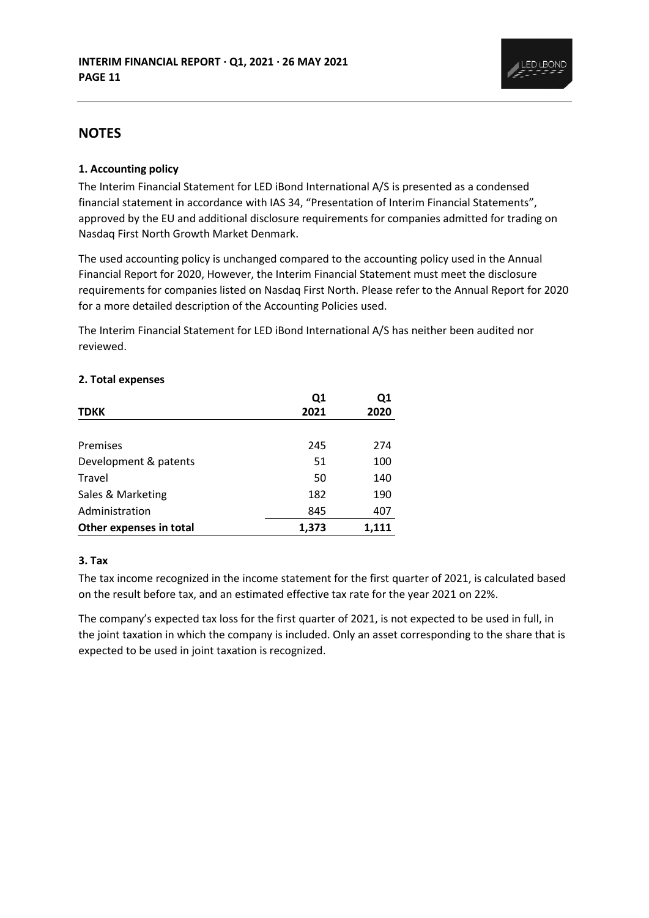

## **NOTES**

### **1. Accounting policy**

The Interim Financial Statement for LED iBond International A/S is presented as a condensed financial statement in accordance with IAS 34, "Presentation of Interim Financial Statements", approved by the EU and additional disclosure requirements for companies admitted for trading on Nasdaq First North Growth Market Denmark.

The used accounting policy is unchanged compared to the accounting policy used in the Annual Financial Report for 2020, However, the Interim Financial Statement must meet the disclosure requirements for companies listed on Nasdaq First North. Please refer to the Annual Report for 2020 for a more detailed description of the Accounting Policies used.

The Interim Financial Statement for LED iBond International A/S has neither been audited nor reviewed.

|  | 2. Total expenses |  |
|--|-------------------|--|
|  |                   |  |

|                         | Q1    | Q1    |
|-------------------------|-------|-------|
| <b>TDKK</b>             | 2021  | 2020  |
|                         |       |       |
| Premises                | 245   | 274   |
| Development & patents   | 51    | 100   |
| Travel                  | 50    | 140   |
| Sales & Marketing       | 182   | 190   |
| Administration          | 845   | 407   |
| Other expenses in total | 1,373 | 1.111 |

### **3. Tax**

The tax income recognized in the income statement for the first quarter of 2021, is calculated based on the result before tax, and an estimated effective tax rate for the year 2021 on 22%.

The company's expected tax loss for the first quarter of 2021, is not expected to be used in full, in the joint taxation in which the company is included. Only an asset corresponding to the share that is expected to be used in joint taxation is recognized.